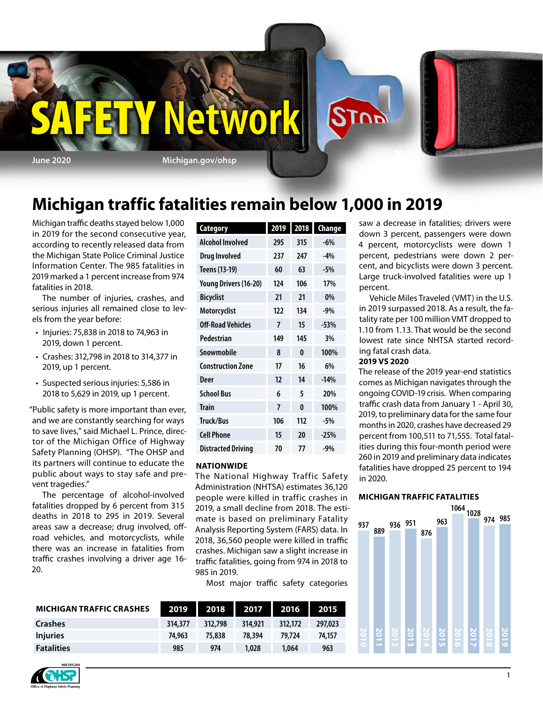

## **Michigan traffic fatalities remain below 1,000 in 2019**

Michigan traffic deaths stayed below 1,000 in 2019 for the second consecutive year, according to recently released data from the Michigan State Police Criminal Justice Information Center. The 985 fatalities in 2019 marked a 1 percent increase from 974 fatalities in 2018.

The number of injuries, crashes, and serious injuries all remained close to levels from the year before:

- Injuries: 75,838 in 2018 to 74,963 in 2019, down 1 percent.
- Crashes: 312,798 in 2018 to 314,377 in 2019, up 1 percent.
- Suspected serious injuries: 5,586 in 2018 to 5,629 in 2019, up 1 percent.

"Public safety is more important than ever, and we are constantly searching for ways to save lives," said Michael L. Prince, director of the Michigan Office of Highway Safety Planning (OHSP). "The OHSP and its partners will continue to educate the public about ways to stay safe and prevent tragedies."

The percentage of alcohol-involved fatalities dropped by 6 percent from 315 deaths in 2018 to 295 in 2019. Several areas saw a decrease; drug involved, offroad vehicles, and motorcyclists, while there was an increase in fatalities from traffic crashes involving a driver age 16- 20.

| <b>Category</b>           | 2019 | 2018     | <b>Change</b> |
|---------------------------|------|----------|---------------|
| <b>Alcohol Involved</b>   | 295  | 315      | $-6%$         |
| <b>Drug Involved</b>      | 237  | 247      | $-4%$         |
| Teens (13-19)             | 60   | 63       | $-5%$         |
| Young Drivers (16-20)     | 124  | 106      | 17%           |
| <b>Bicyclist</b>          | 21   | 21       | 0%            |
| Motorcyclist              | 122  | 134      | $-9%$         |
| Off-Road Vehicles         | 7    | 15       | $-53%$        |
| Pedestrian                | 149  | 145      | 3%            |
| Snowmobile                | 8    | 0        | 100%          |
| <b>Construction Zone</b>  | 17   | 16       | 6%            |
| Deer                      | 12   | 14       | $-14%$        |
| <b>School Bus</b>         | 6    | 5        | 20%           |
| <b>Train</b>              | 7    | $\bf{0}$ | 100%          |
| <b>Truck/Bus</b>          | 106  | 112      | $-5%$         |
| <b>Cell Phone</b>         | 15   | 20       | $-25%$        |
| <b>Distracted Driving</b> | 70   | 77       | $-9%$         |

#### **NATIONWIDE**

The National Highway Traffic Safety Administration (NHTSA) estimates 36,120 people were killed in traffic crashes in people were kined in dame elasties in mate is based on preliminary Fatality Analysis Reporting System (FARS) data. In 2018, 36,560 people were killed in traffic 850 900 crashes. Michigan saw a slight increase in traffic fatalities, going from 974 in 2018 to 985 in 2019.

Most major traffic safety categories

| <b>MICHIGAN TRAFFIC CRASHES</b> | 2019    | 2018    | 2017    | 2016    | 2015    |
|---------------------------------|---------|---------|---------|---------|---------|
| <b>Crashes</b>                  | 314,377 | 312.798 | 314,921 | 312,172 | 297,023 |
| <b>Injuries</b>                 | 74.963  | 75.838  | 78.394  | 79.724  | 74.157  |
| <b>Fatalities</b>               | 985     | 974     | 1,028   | 1.064   | 963     |

saw a decrease in fatalities; drivers were down 3 percent, passengers were down 4 percent, motorcyclists were down 1 percent, pedestrians were down 2 percent, and bicyclists were down 3 percent. Large truck-involved fatalities were up 1 percent.

Vehicle Miles Traveled (VMT) in the U.S. in 2019 surpassed 2018. As a result, the fatality rate per 100 million VMT dropped to 1.10 from 1.13. That would be the second lowest rate since NHTSA started recording fatal crash data.

#### **2019 VS 2020**

The release of the 2019 year-end statistics comes as Michigan navigates through the ongoing COVID-19 crisis. When comparing traffic crash data from January 1 - April 30, 2019, to preliminary data for the same four months in 2020, crashes have decreased 29 percent from 100,511 to 71,555. Total fatalities during this four-month period were 260 in 2019 and preliminary data indicates fatalities have dropped 25 percent to 194 in 2020.

#### **MICHIGAN TRAFFIC FATALITIES**



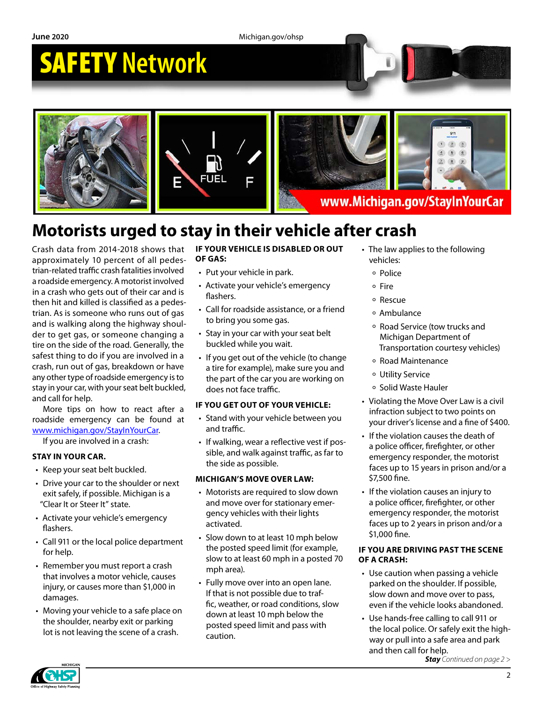**June 2020** Michigan.gov/ohsp

# SAFETY **Network**





www.Michigan.gov/StayInYourCar

## **Motorists urged to stay in their vehicle after crash**

Crash data from 2014-2018 shows that approximately 10 percent of all pedestrian-related traffic crash fatalities involved a roadside emergency. A motorist involved in a crash who gets out of their car and is then hit and killed is classified as a pedestrian. As is someone who runs out of gas and is walking along the highway shoulder to get gas, or someone changing a tire on the side of the road. Generally, the safest thing to do if you are involved in a crash, run out of gas, breakdown or have any other type of roadside emergency is to stay in your car, with your seat belt buckled, and call for help.

More tips on how to react after a roadside emergency can be found at [www.michigan.gov/StayInYourCar.](http://www.michigan.gov/StayInYourCar)

If you are involved in a crash:

#### **STAY IN YOUR CAR.**

- Keep your seat belt buckled.
- Drive your car to the shoulder or next exit safely, if possible. Michigan is a "Clear It or Steer It" state.
- Activate your vehicle's emergency flashers.
- Call 911 or the local police department for help.
- Remember you must report a crash that involves a motor vehicle, causes injury, or causes more than \$1,000 in damages.
- Moving your vehicle to a safe place on the shoulder, nearby exit or parking lot is not leaving the scene of a crash.

#### **IF YOUR VEHICLE IS DISABLED OR OUT OF GAS:**

- Put your vehicle in park.
- Activate your vehicle's emergency flashers.
- Call for roadside assistance, or a friend to bring you some gas.
- Stay in your car with your seat belt buckled while you wait.
- If you get out of the vehicle (to change a tire for example), make sure you and the part of the car you are working on does not face traffic.

#### **IF YOU GET OUT OF YOUR VEHICLE:**

- Stand with your vehicle between you and traffic.
- If walking, wear a reflective vest if possible, and walk against traffic, as far to the side as possible.

#### **MICHIGAN'S MOVE OVER LAW:**

- Motorists are required to slow down and move over for stationary emergency vehicles with their lights activated.
- Slow down to at least 10 mph below the posted speed limit (for example, slow to at least 60 mph in a posted 70 mph area).
- Fully move over into an open lane. If that is not possible due to traffic, weather, or road conditions, slow down at least 10 mph below the posted speed limit and pass with caution.
- The law applies to the following vehicles:
	- Police
	- Fire
	- Rescue
	- Ambulance
	- Road Service (tow trucks and Michigan Department of Transportation courtesy vehicles)
	- Road Maintenance
	- Utility Service
	- Solid Waste Hauler
- Violating the Move Over Law is a civil infraction subject to two points on your driver's license and a fine of \$400.
- If the violation causes the death of a police officer, firefighter, or other emergency responder, the motorist faces up to 15 years in prison and/or a \$7,500 fine.
- If the violation causes an injury to a police officer, firefighter, or other emergency responder, the motorist faces up to 2 years in prison and/or a \$1,000 fine.

#### **IF YOU ARE DRIVING PAST THE SCENE OF A CRASH:**

- Use caution when passing a vehicle parked on the shoulder. If possible, slow down and move over to pass, even if the vehicle looks abandoned.
- Use hands-free calling to call 911 or the local police. Or safely exit the highway or pull into a safe area and park and then call for help.

*Stay Continued on page 2 >*

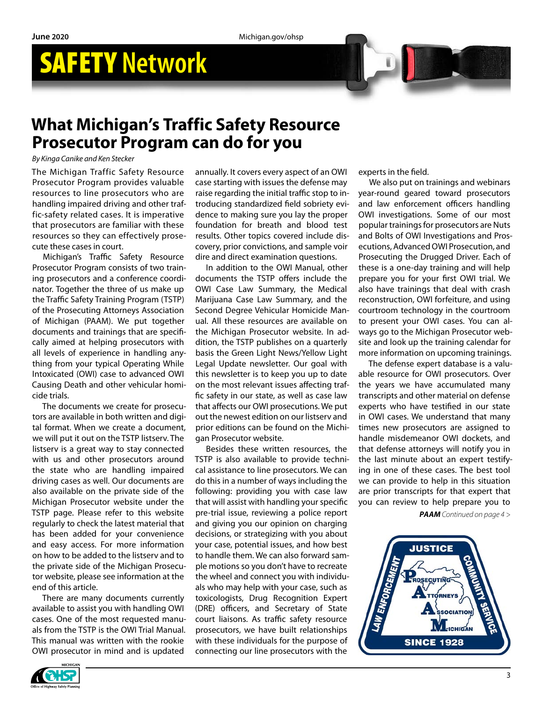## SAFETY **Network**

### **What Michigan's Traffic Safety Resource Prosecutor Program can do for you**

*By Kinga Canike and Ken Stecker*

The Michigan Traffic Safety Resource Prosecutor Program provides valuable resources to line prosecutors who are handling impaired driving and other traffic-safety related cases. It is imperative that prosecutors are familiar with these resources so they can effectively prosecute these cases in court.

Michigan's Traffic Safety Resource Prosecutor Program consists of two training prosecutors and a conference coordinator. Together the three of us make up the Traffic Safety Training Program (TSTP) of the Prosecuting Attorneys Association of Michigan (PAAM). We put together documents and trainings that are specifically aimed at helping prosecutors with all levels of experience in handling anything from your typical Operating While Intoxicated (OWI) case to advanced OWI Causing Death and other vehicular homicide trials.

The documents we create for prosecutors are available in both written and digital format. When we create a document, we will put it out on the TSTP listserv. The listserv is a great way to stay connected with us and other prosecutors around the state who are handling impaired driving cases as well. Our documents are also available on the private side of the Michigan Prosecutor website under the TSTP page. Please refer to this website regularly to check the latest material that has been added for your convenience and easy access. For more information on how to be added to the listserv and to the private side of the Michigan Prosecutor website, please see information at the end of this article.

There are many documents currently available to assist you with handling OWI cases. One of the most requested manuals from the TSTP is the OWI Trial Manual. This manual was written with the rookie OWI prosecutor in mind and is updated

annually. It covers every aspect of an OWI case starting with issues the defense may raise regarding the initial traffic stop to introducing standardized field sobriety evidence to making sure you lay the proper foundation for breath and blood test results. Other topics covered include discovery, prior convictions, and sample voir dire and direct examination questions.

In addition to the OWI Manual, other documents the TSTP offers include the OWI Case Law Summary, the Medical Marijuana Case Law Summary, and the Second Degree Vehicular Homicide Manual. All these resources are available on the Michigan Prosecutor website. In addition, the TSTP publishes on a quarterly basis the Green Light News/Yellow Light Legal Update newsletter. Our goal with this newsletter is to keep you up to date on the most relevant issues affecting traffic safety in our state, as well as case law that affects our OWI prosecutions. We put out the newest edition on our listserv and prior editions can be found on the Michigan Prosecutor website.

Besides these written resources, the TSTP is also available to provide technical assistance to line prosecutors. We can do this in a number of ways including the following: providing you with case law that will assist with handling your specific pre-trial issue, reviewing a police report and giving you our opinion on charging decisions, or strategizing with you about your case, potential issues, and how best to handle them. We can also forward sample motions so you don't have to recreate the wheel and connect you with individuals who may help with your case, such as toxicologists, Drug Recognition Expert (DRE) officers, and Secretary of State court liaisons. As traffic safety resource prosecutors, we have built relationships with these individuals for the purpose of connecting our line prosecutors with the

experts in the field.

We also put on trainings and webinars year-round geared toward prosecutors and law enforcement officers handling OWI investigations. Some of our most popular trainings for prosecutors are Nuts and Bolts of OWI Investigations and Prosecutions, Advanced OWI Prosecution, and Prosecuting the Drugged Driver. Each of these is a one-day training and will help prepare you for your first OWI trial. We also have trainings that deal with crash reconstruction, OWI forfeiture, and using courtroom technology in the courtroom to present your OWI cases. You can always go to the Michigan Prosecutor website and look up the training calendar for more information on upcoming trainings.

The defense expert database is a valuable resource for OWI prosecutors. Over the years we have accumulated many transcripts and other material on defense experts who have testified in our state in OWI cases. We understand that many times new prosecutors are assigned to handle misdemeanor OWI dockets, and that defense attorneys will notify you in the last minute about an expert testifying in one of these cases. The best tool we can provide to help in this situation are prior transcripts for that expert that you can review to help prepare you to

*PAAM Continued on page 4 >*



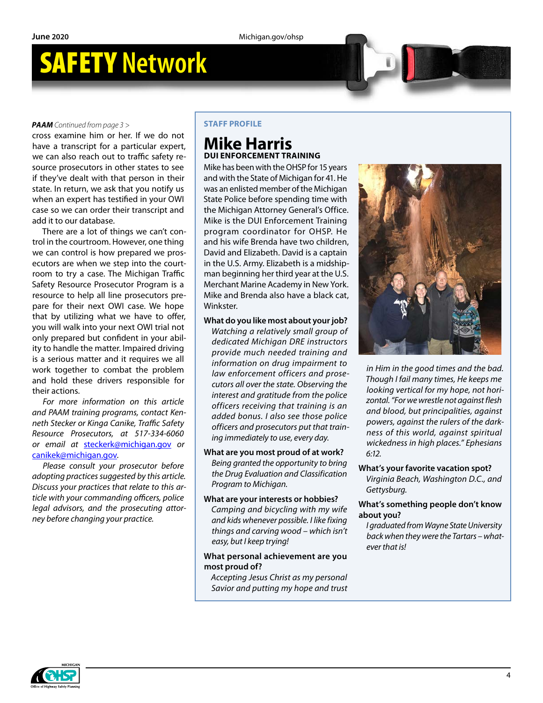## SAFETY **Network**

#### *PAAM Continued from page 3 >*

cross examine him or her. If we do not have a transcript for a particular expert, we can also reach out to traffic safety resource prosecutors in other states to see if they've dealt with that person in their state. In return, we ask that you notify us when an expert has testified in your OWI case so we can order their transcript and add it to our database.

There are a lot of things we can't control in the courtroom. However, one thing we can control is how prepared we prosecutors are when we step into the courtroom to try a case. The Michigan Traffic Safety Resource Prosecutor Program is a resource to help all line prosecutors prepare for their next OWI case. We hope that by utilizing what we have to offer, you will walk into your next OWI trial not only prepared but confident in your ability to handle the matter. Impaired driving is a serious matter and it requires we all work together to combat the problem and hold these drivers responsible for their actions.

*For more information on this article and PAAM training programs, contact Kenneth Stecker or Kinga Canike, Traffic Safety Resource Prosecutors, at 517-334-6060 or email at* [steckerk@michigan.gov](mailto:steckerk%40michigan.gov?subject=) *or*  [canikek@michigan.gov](mailto:canikek%40michigan.gov?subject=)*.* 

*Please consult your prosecutor before adopting practices suggested by this article. Discuss your practices that relate to this article with your commanding officers, police legal advisors, and the prosecuting attorney before changing your practice.*

#### **STAFF PROFILE**

### **Mike Harris DUI ENFORCEMENT TRAINING**

Mike has been with the OHSP for 15 years and with the State of Michigan for 41. He was an enlisted member of the Michigan State Police before spending time with the Michigan Attorney General's Office. Mike is the DUI Enforcement Training program coordinator for OHSP. He and his wife Brenda have two children, David and Elizabeth. David is a captain in the U.S. Army. Elizabeth is a midshipman beginning her third year at the U.S. Merchant Marine Academy in New York. Mike and Brenda also have a black cat, **Winkster** 

**What do you like most about your job?** *Watching a relatively small group of dedicated Michigan DRE instructors provide much needed training and information on drug impairment to law enforcement officers and prosecutors all over the state. Observing the interest and gratitude from the police officers receiving that training is an added bonus. I also see those police officers and prosecutors put that training immediately to use, every day.* 

**What are you most proud of at work?**  *Being granted the opportunity to bring the Drug Evaluation and Classification Program to Michigan.*

### **What are your interests or hobbies?**

*Camping and bicycling with my wife and kids whenever possible. I like fixing things and carving wood – which isn't easy, but I keep trying!*

#### **What personal achievement are you most proud of?**

*Accepting Jesus Christ as my personal Savior and putting my hope and trust* 



*in Him in the good times and the bad. Though I fail many times, He keeps me looking vertical for my hope, not horizontal. "For we wrestle not against flesh and blood, but principalities, against powers, against the rulers of the darkness of this world, against spiritual wickedness in high places." Ephesians 6:12.*

#### **What's your favorite vacation spot?**

*Virginia Beach, Washington D.C., and Gettysburg.*

#### **What's something people don't know about you?**

*I graduated from Wayne State University back when they were the Tartars – whatever that is!*